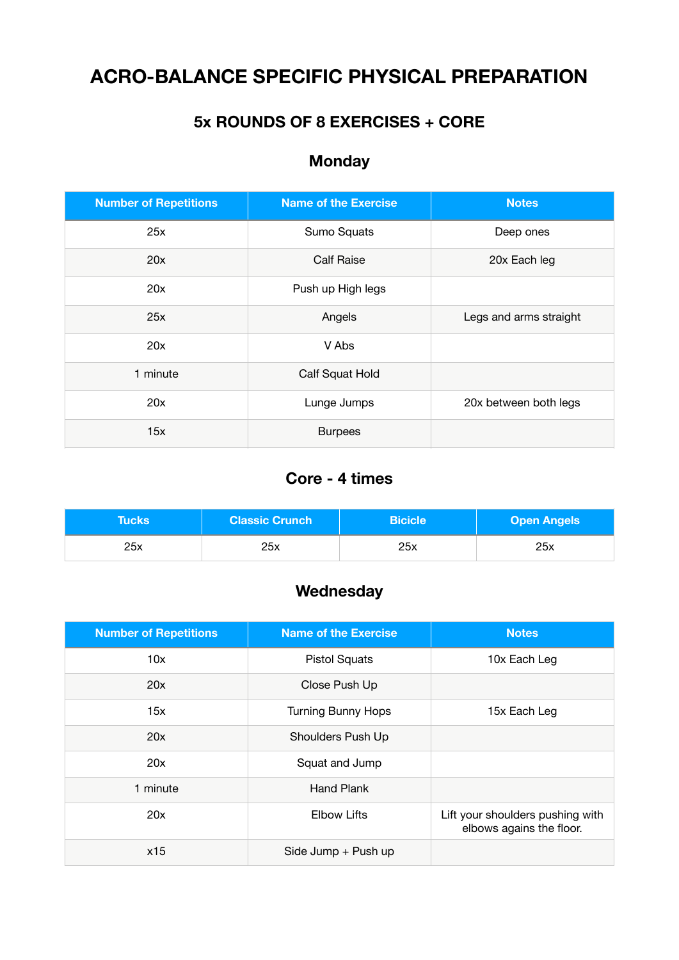# **ACRO-BALANCE SPECIFIC PHYSICAL PREPARATION**

### **5x ROUNDS OF 8 EXERCISES + CORE**

## **Monday**

| <b>Number of Repetitions</b> | <b>Name of the Exercise</b>          | <b>Notes</b>           |
|------------------------------|--------------------------------------|------------------------|
| 25x                          | Sumo Squats                          | Deep ones              |
| 20x                          | <b>Calf Raise</b><br>20x Each leg    |                        |
| 20x                          | Push up High legs                    |                        |
| 25x                          | Angels                               | Legs and arms straight |
| 20x                          | V Abs                                |                        |
| 1 minute                     | Calf Squat Hold                      |                        |
| 20x                          | Lunge Jumps<br>20x between both legs |                        |
| 15x                          | <b>Burpees</b>                       |                        |

### **Core - 4 times**

| <b>Tucks</b> | <b>Classic Crunch</b> | <b>Bicicle</b> | <b>Open Angels</b> |
|--------------|-----------------------|----------------|--------------------|
| 25x          | 25x                   | 25x            | 25x                |

#### **Wednesday**

| <b>Number of Repetitions</b> | <b>Name of the Exercise</b> | <b>Notes</b>                                                 |
|------------------------------|-----------------------------|--------------------------------------------------------------|
| 10x                          | <b>Pistol Squats</b>        | 10x Each Leg                                                 |
| 20x                          | Close Push Up               |                                                              |
| 15x                          | <b>Turning Bunny Hops</b>   | 15x Each Leg                                                 |
| 20x                          | Shoulders Push Up           |                                                              |
| 20x                          | Squat and Jump              |                                                              |
| 1 minute                     | Hand Plank                  |                                                              |
| 20x                          | <b>Elbow Lifts</b>          | Lift your shoulders pushing with<br>elbows agains the floor. |
| x15                          | Side Jump + Push up         |                                                              |